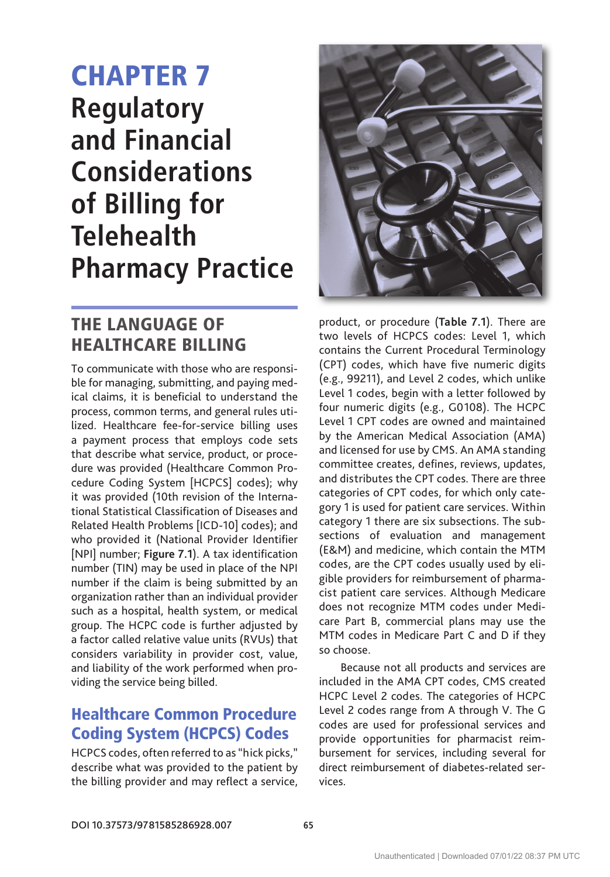# CHAPTER 7 **regulatory and Financial Considerations of Billing for Telehealth Pharmacy Practice**

## THE LANGUAGE OF HEALTHCARE BILLING

To communicate with those who are responsible for managing, submitting, and paying medical claims, it is beneficial to understand the process, common terms, and general rules utilized. Healthcare fee-for-service billing uses a payment process that employs code sets that describe what service, product, or procedure was provided (Healthcare Common Procedure Coding System [HCPCS] codes); why it was provided (10th revision of the International Statistical Classification of Diseases and Related Health Problems [ICD-10] codes); and who provided it (National Provider Identifier [NPI] number; Figure 7.1). A tax identification number (TIN) may be used in place of the NPI number if the claim is being submitted by an organization rather than an individual provider such as a hospital, health system, or medical group. The HCPC code is further adjusted by a factor called relative value units (RVUs) that considers variability in provider cost, value, and liability of the work performed when providing the service being billed.

#### Healthcare Common Procedure Coding System (HCPCS) Codes

HCPCS codes, often referred to as "hick picks," describe what was provided to the patient by the billing provider and may reflect a service,



product, or procedure (**Table 7.1**). There are two levels of HCPCS codes: Level 1, which contains the Current Procedural Terminology (CPT) codes, which have five numeric digits (e.g., 99211), and Level 2 codes, which unlike Level 1 codes, begin with a letter followed by four numeric digits (e.g., G0108). The HCPC Level 1 CPT codes are owned and maintained by the American Medical Association (AMA) and licensed for use by CMS. An AMA standing committee creates, defines, reviews, updates, and distributes the CPT codes. There are three categories of CPT codes, for which only category 1 is used for patient care services. Within category 1 there are six subsections. The subsections of evaluation and management (E&M) and medicine, which contain the MTM codes, are the CPT codes usually used by eligible providers for reimbursement of pharmacist patient care services. Although Medicare does not recognize MTM codes under Medicare Part B, commercial plans may use the MTM codes in Medicare Part C and D if they so choose.

Because not all products and services are included in the AMA CPT codes, CMS created HCPC Level 2 codes. The categories of HCPC Level 2 codes range from A through V. The G codes are used for professional services and provide opportunities for pharmacist reimbursement for services, including several for direct reimbursement of diabetes-related services.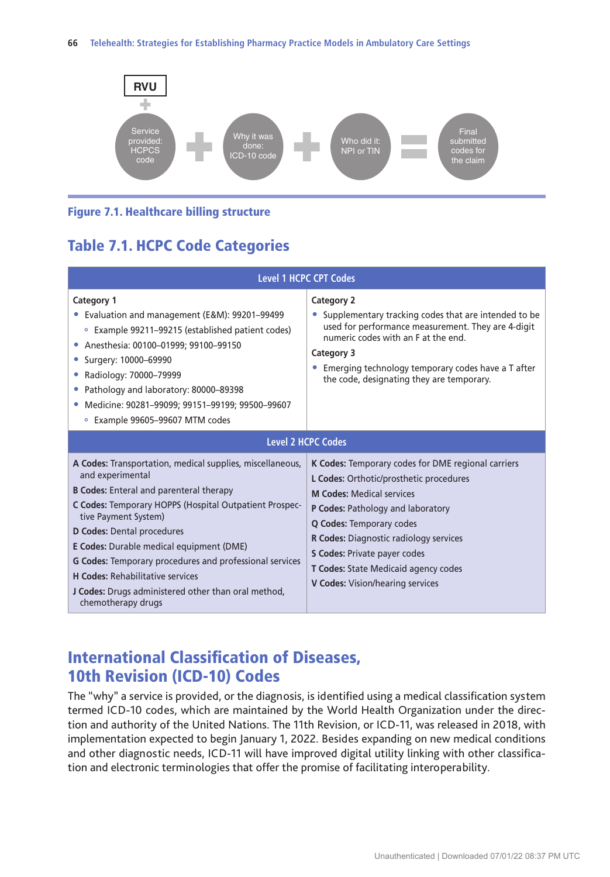

#### Figure 7.1. Healthcare billing structure

#### Table 7.1. HCPC Code Categories

| <b>Level 1 HCPC CPT Codes</b>                                                                                                                                                                                                                                                                                                                                                                                                                                                         |                                                                                                                                                                                                                                                                                                                                                                                      |
|---------------------------------------------------------------------------------------------------------------------------------------------------------------------------------------------------------------------------------------------------------------------------------------------------------------------------------------------------------------------------------------------------------------------------------------------------------------------------------------|--------------------------------------------------------------------------------------------------------------------------------------------------------------------------------------------------------------------------------------------------------------------------------------------------------------------------------------------------------------------------------------|
| Category 1<br>• Evaluation and management (E&M): 99201-99499<br>• Example 99211–99215 (established patient codes)<br>Anesthesia: 00100-01999; 99100-99150<br>Surgery: 10000-69990<br>Radiology: 70000-79999<br>Pathology and laboratory: 80000-89398<br>Medicine: 90281-99099; 99151-99199; 99500-99607<br>• Example 99605-99607 MTM codes                                                                                                                                            | Category 2<br>Supplementary tracking codes that are intended to be<br>used for performance measurement. They are 4-digit<br>numeric codes with an E at the end.<br>Category 3<br>Emerging technology temporary codes have a T after<br>the code, designating they are temporary.                                                                                                     |
| <b>Level 2 HCPC Codes</b>                                                                                                                                                                                                                                                                                                                                                                                                                                                             |                                                                                                                                                                                                                                                                                                                                                                                      |
| A Codes: Transportation, medical supplies, miscellaneous,<br>and experimental<br><b>B Codes:</b> Enteral and parenteral therapy<br>C Codes: Temporary HOPPS (Hospital Outpatient Prospec-<br>tive Payment System)<br>D Codes: Dental procedures<br>E Codes: Durable medical equipment (DME)<br><b>G Codes:</b> Temporary procedures and professional services<br><b>H Codes: Rehabilitative services</b><br>J Codes: Drugs administered other than oral method,<br>chemotherapy drugs | K Codes: Temporary codes for DME regional carriers<br>L Codes: Orthotic/prosthetic procedures<br><b>M Codes: Medical services</b><br>P Codes: Pathology and laboratory<br><b>Q Codes: Temporary codes</b><br><b>R Codes:</b> Diagnostic radiology services<br><b>S Codes: Private payer codes</b><br><b>T Codes: State Medicaid agency codes</b><br>V Codes: Vision/hearing services |

#### International Classification of Diseases, 10th Revision (ICD-10) Codes

The "why" a service is provided, or the diagnosis, is identified using a medical classification system termed ICD-10 codes, which are maintained by the World Health Organization under the direction and authority of the United Nations. The 11th Revision, or ICD-11, was released in 2018, with implementation expected to begin January 1, 2022. Besides expanding on new medical conditions and other diagnostic needs, ICD-11 will have improved digital utility linking with other classification and electronic terminologies that offer the promise of facilitating interoperability.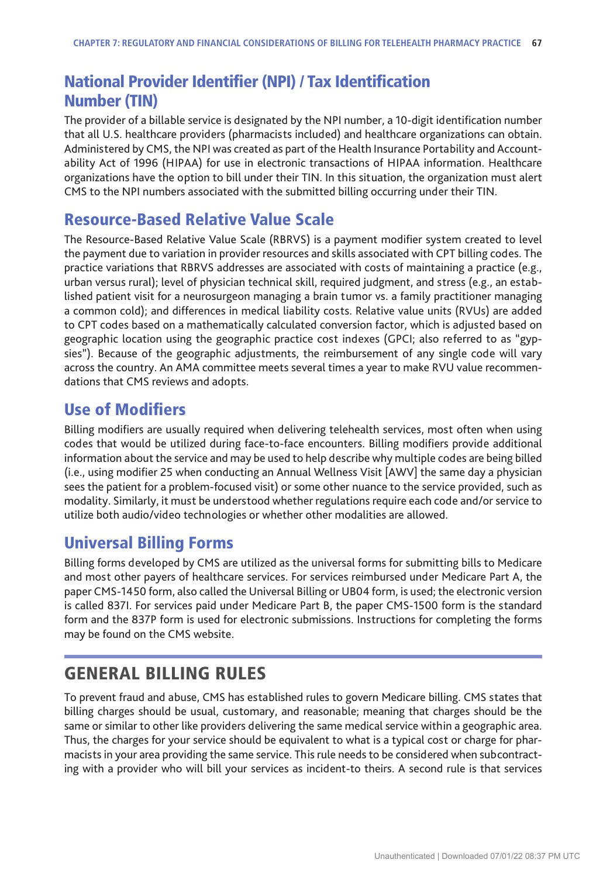#### National Provider Identifier (NPI) / Tax Identification Number (TIN)

The provider of a billable service is designated by the NPI number, a 10-digit identification number that all U.S. healthcare providers (pharmacists included) and healthcare organizations can obtain. Administered by CMS, the NPI was created as part of the Health Insurance Portability and Accountability Act of 1996 (HIPAA) for use in electronic transactions of HIPAA information. Healthcare organizations have the option to bill under their TIN. In this situation, the organization must alert CMS to the NPI numbers associated with the submitted billing occurring under their TIN.

#### Resource-Based Relative Value Scale

The Resource-Based Relative Value Scale (RBRVS) is a payment modifier system created to level the payment due to variation in provider resources and skills associated with CPT billing codes. The practice variations that RBRVS addresses are associated with costs of maintaining a practice (e.g., urban versus rural); level of physician technical skill, required judgment, and stress (e.g., an established patient visit for a neurosurgeon managing a brain tumor vs. a family practitioner managing a common cold); and differences in medical liability costs. Relative value units (RVUs) are added to CPT codes based on a mathematically calculated conversion factor, which is adjusted based on geographic location using the geographic practice cost indexes (GPCI; also referred to as "gypsies"). Because of the geographic adjustments, the reimbursement of any single code will vary across the country. An AMA committee meets several times a year to make RVU value recommendations that CMS reviews and adopts.

#### Use of Modifiers

Billing modifiers are usually required when delivering telehealth services, most often when using codes that would be utilized during face-to-face encounters. Billing modifiers provide additional information about the service and may be used to help describe why multiple codes are being billed (i.e., using modifier 25 when conducting an Annual Wellness Visit [AWV] the same day a physician sees the patient for a problem-focused visit) or some other nuance to the service provided, such as modality. Similarly, it must be understood whether regulations require each code and/or service to utilize both audio/video technologies or whether other modalities are allowed.

#### Universal Billing Forms

Billing forms developed by CMS are utilized as the universal forms for submitting bills to Medicare and most other payers of healthcare services. For services reimbursed under Medicare Part A, the paper CMS-1450 form, also called the Universal Billing or UB04 form, is used; the electronic version is called 837I. For services paid under Medicare Part B, the paper CMS-1500 form is the standard form and the 837P form is used for electronic submissions. Instructions for completing the forms may be found on the CMS website.

#### GENERAL BILLING RULES

To prevent fraud and abuse, CMS has established rules to govern Medicare billing. CMS states that billing charges should be usual, customary, and reasonable; meaning that charges should be the same or similar to other like providers delivering the same medical service within a geographic area. Thus, the charges for your service should be equivalent to what is a typical cost or charge for pharmacists in your area providing the same service. This rule needs to be considered when subcontracting with a provider who will bill your services as incident-to theirs. A second rule is that services